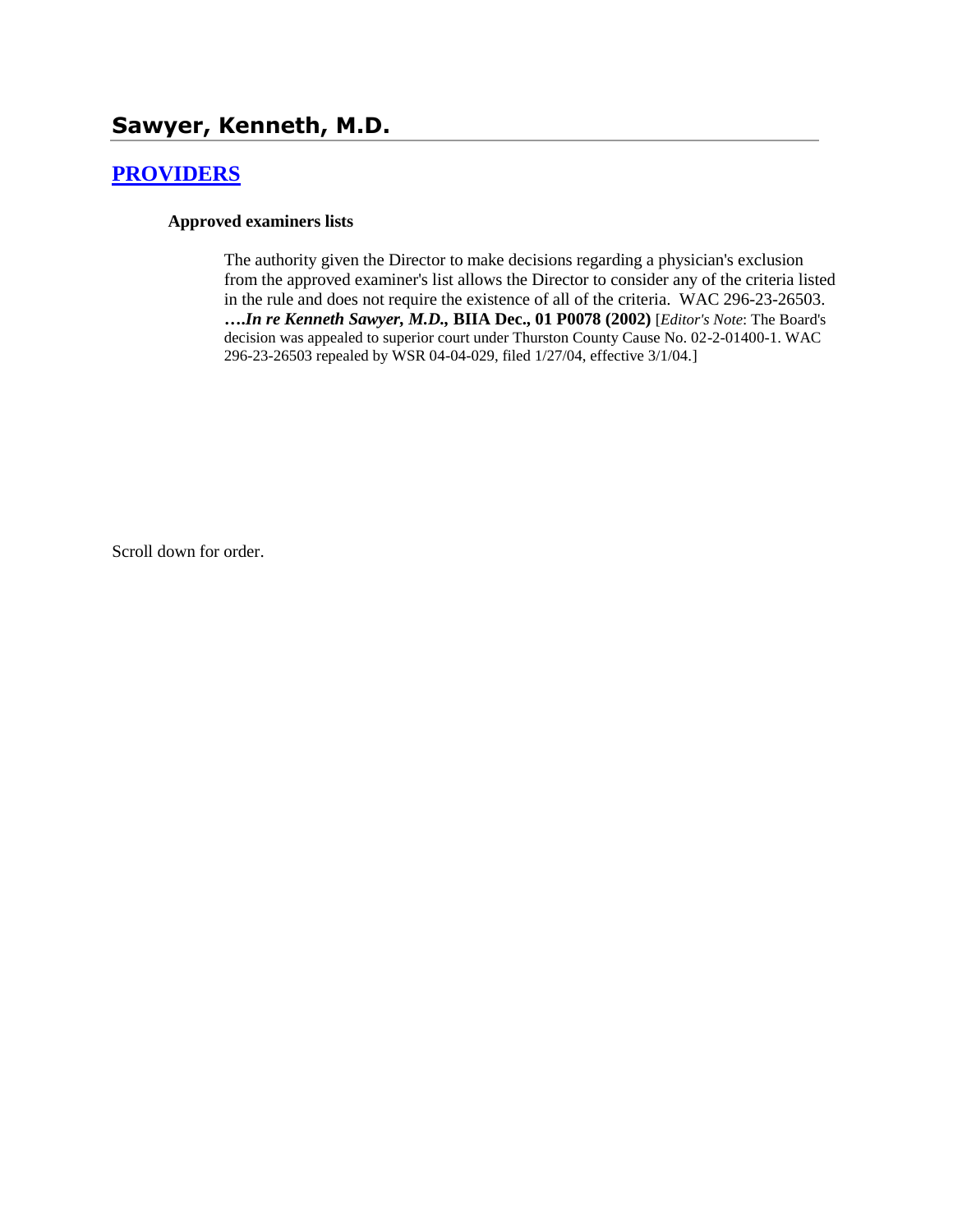# **[PROVIDERS](http://www.biia.wa.gov/SDSubjectIndex.html#PROVIDERS)**

#### **Approved examiners lists**

The authority given the Director to make decisions regarding a physician's exclusion from the approved examiner's list allows the Director to consider any of the criteria listed in the rule and does not require the existence of all of the criteria. WAC 296-23-26503. **….***In re Kenneth Sawyer, M.D.,* **BIIA Dec., 01 P0078 (2002)** [*Editor's Note*: The Board's decision was appealed to superior court under Thurston County Cause No. 02-2-01400-1. WAC 296-23-26503 repealed by WSR 04-04-029, filed 1/27/04, effective 3/1/04.]

Scroll down for order.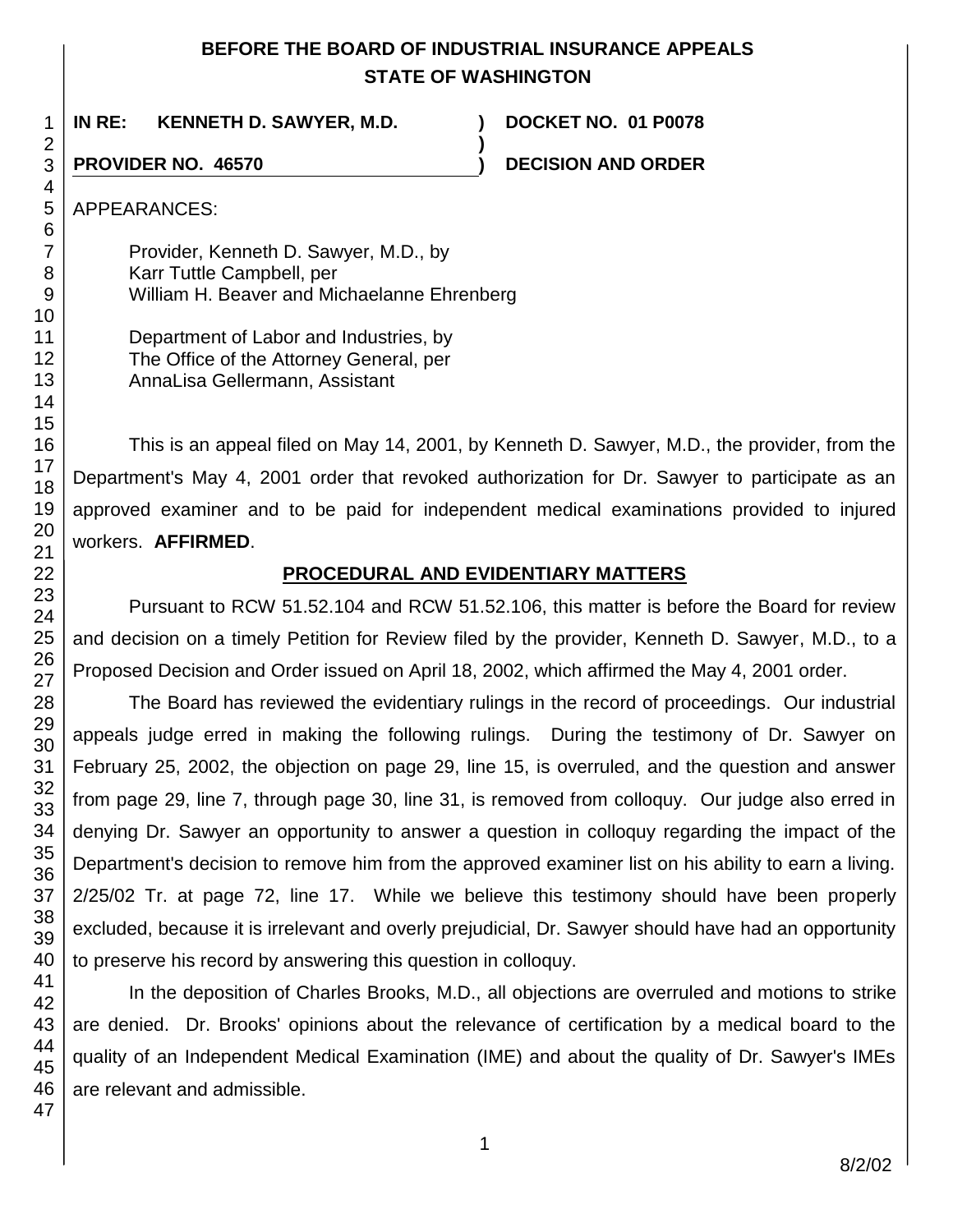# **BEFORE THE BOARD OF INDUSTRIAL INSURANCE APPEALS STATE OF WASHINGTON**

**)**

1 **IN RE: KENNETH D. SAWYER, M.D. ) DOCKET NO. 01 P0078**

**PROVIDER NO. 46570 ) DECISION AND ORDER** 

APPEARANCES:

Provider, Kenneth D. Sawyer, M.D., by Karr Tuttle Campbell, per William H. Beaver and Michaelanne Ehrenberg

Department of Labor and Industries, by The Office of the Attorney General, per AnnaLisa Gellermann, Assistant

This is an appeal filed on May 14, 2001, by Kenneth D. Sawyer, M.D., the provider, from the Department's May 4, 2001 order that revoked authorization for Dr. Sawyer to participate as an approved examiner and to be paid for independent medical examinations provided to injured workers. **AFFIRMED**.

# **PROCEDURAL AND EVIDENTIARY MATTERS**

Pursuant to RCW 51.52.104 and RCW 51.52.106, this matter is before the Board for review and decision on a timely Petition for Review filed by the provider, Kenneth D. Sawyer, M.D., to a Proposed Decision and Order issued on April 18, 2002, which affirmed the May 4, 2001 order.

The Board has reviewed the evidentiary rulings in the record of proceedings. Our industrial appeals judge erred in making the following rulings. During the testimony of Dr. Sawyer on February 25, 2002, the objection on page 29, line 15, is overruled, and the question and answer from page 29, line 7, through page 30, line 31, is removed from colloquy. Our judge also erred in denying Dr. Sawyer an opportunity to answer a question in colloquy regarding the impact of the Department's decision to remove him from the approved examiner list on his ability to earn a living. 2/25/02 Tr. at page 72, line 17. While we believe this testimony should have been properly excluded, because it is irrelevant and overly prejudicial, Dr. Sawyer should have had an opportunity to preserve his record by answering this question in colloquy.

In the deposition of Charles Brooks, M.D., all objections are overruled and motions to strike are denied. Dr. Brooks' opinions about the relevance of certification by a medical board to the quality of an Independent Medical Examination (IME) and about the quality of Dr. Sawyer's IMEs are relevant and admissible.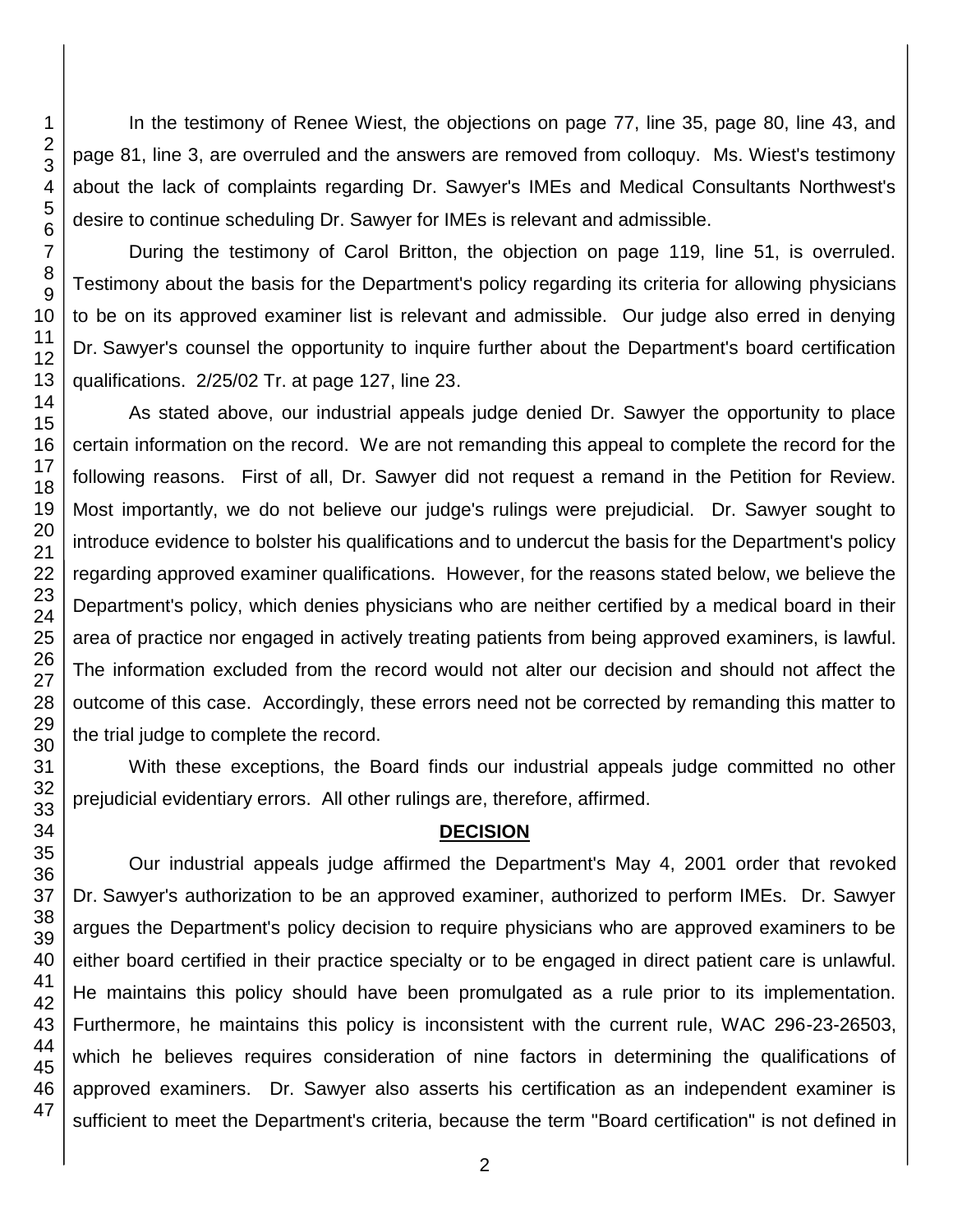In the testimony of Renee Wiest, the objections on page 77, line 35, page 80, line 43, and page 81, line 3, are overruled and the answers are removed from colloquy. Ms. Wiest's testimony about the lack of complaints regarding Dr. Sawyer's IMEs and Medical Consultants Northwest's desire to continue scheduling Dr. Sawyer for IMEs is relevant and admissible.

During the testimony of Carol Britton, the objection on page 119, line 51, is overruled. Testimony about the basis for the Department's policy regarding its criteria for allowing physicians to be on its approved examiner list is relevant and admissible. Our judge also erred in denying Dr. Sawyer's counsel the opportunity to inquire further about the Department's board certification qualifications. 2/25/02 Tr. at page 127, line 23.

As stated above, our industrial appeals judge denied Dr. Sawyer the opportunity to place certain information on the record. We are not remanding this appeal to complete the record for the following reasons. First of all, Dr. Sawyer did not request a remand in the Petition for Review. Most importantly, we do not believe our judge's rulings were prejudicial. Dr. Sawyer sought to introduce evidence to bolster his qualifications and to undercut the basis for the Department's policy regarding approved examiner qualifications. However, for the reasons stated below, we believe the Department's policy, which denies physicians who are neither certified by a medical board in their area of practice nor engaged in actively treating patients from being approved examiners, is lawful. The information excluded from the record would not alter our decision and should not affect the outcome of this case. Accordingly, these errors need not be corrected by remanding this matter to the trial judge to complete the record.

With these exceptions, the Board finds our industrial appeals judge committed no other prejudicial evidentiary errors. All other rulings are, therefore, affirmed.

### **DECISION**

Our industrial appeals judge affirmed the Department's May 4, 2001 order that revoked Dr. Sawyer's authorization to be an approved examiner, authorized to perform IMEs. Dr. Sawyer argues the Department's policy decision to require physicians who are approved examiners to be either board certified in their practice specialty or to be engaged in direct patient care is unlawful. He maintains this policy should have been promulgated as a rule prior to its implementation. Furthermore, he maintains this policy is inconsistent with the current rule, WAC 296-23-26503, which he believes requires consideration of nine factors in determining the qualifications of approved examiners. Dr. Sawyer also asserts his certification as an independent examiner is sufficient to meet the Department's criteria, because the term "Board certification" is not defined in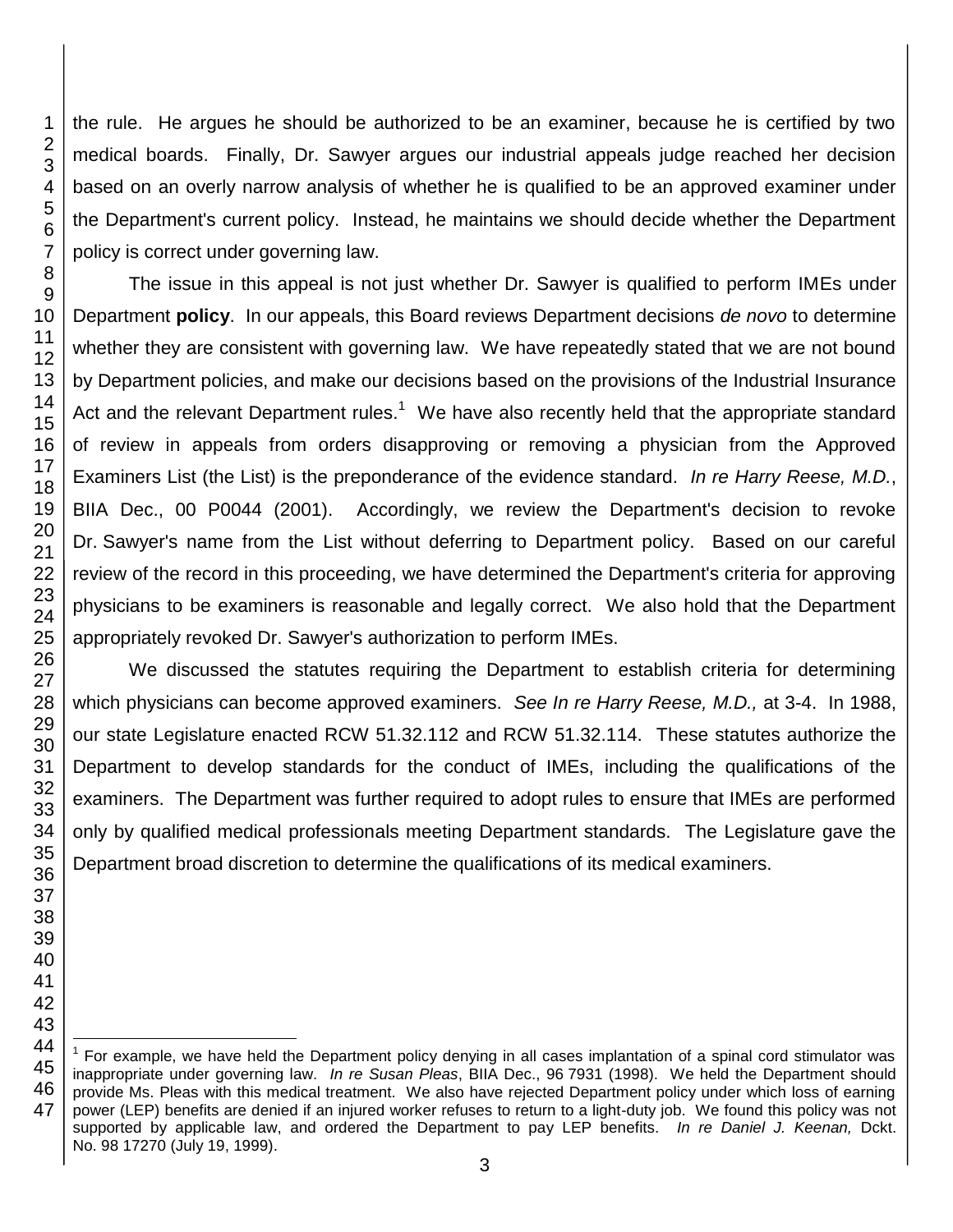the rule. He argues he should be authorized to be an examiner, because he is certified by two medical boards. Finally, Dr. Sawyer argues our industrial appeals judge reached her decision based on an overly narrow analysis of whether he is qualified to be an approved examiner under the Department's current policy. Instead, he maintains we should decide whether the Department policy is correct under governing law.

The issue in this appeal is not just whether Dr. Sawyer is qualified to perform IMEs under Department **policy**. In our appeals, this Board reviews Department decisions *de novo* to determine whether they are consistent with governing law. We have repeatedly stated that we are not bound by Department policies, and make our decisions based on the provisions of the Industrial Insurance Act and the relevant Department rules.<sup>1</sup> We have also recently held that the appropriate standard of review in appeals from orders disapproving or removing a physician from the Approved Examiners List (the List) is the preponderance of the evidence standard. *In re Harry Reese, M.D.*, BIIA Dec., 00 P0044 (2001). Accordingly, we review the Department's decision to revoke Dr. Sawyer's name from the List without deferring to Department policy. Based on our careful review of the record in this proceeding, we have determined the Department's criteria for approving physicians to be examiners is reasonable and legally correct. We also hold that the Department appropriately revoked Dr. Sawyer's authorization to perform IMEs.

We discussed the statutes requiring the Department to establish criteria for determining which physicians can become approved examiners. *See In re Harry Reese, M.D.,* at 3-4. In 1988, our state Legislature enacted RCW 51.32.112 and RCW 51.32.114. These statutes authorize the Department to develop standards for the conduct of IMEs, including the qualifications of the examiners. The Department was further required to adopt rules to ensure that IMEs are performed only by qualified medical professionals meeting Department standards. The Legislature gave the Department broad discretion to determine the qualifications of its medical examiners.

 l For example, we have held the Department policy denying in all cases implantation of a spinal cord stimulator was inappropriate under governing law. *In re Susan Pleas*, BIIA Dec., 96 7931 (1998). We held the Department should provide Ms. Pleas with this medical treatment. We also have rejected Department policy under which loss of earning power (LEP) benefits are denied if an injured worker refuses to return to a light-duty job. We found this policy was not supported by applicable law, and ordered the Department to pay LEP benefits. *In re Daniel J. Keenan,* Dckt. No. 98 17270 (July 19, 1999).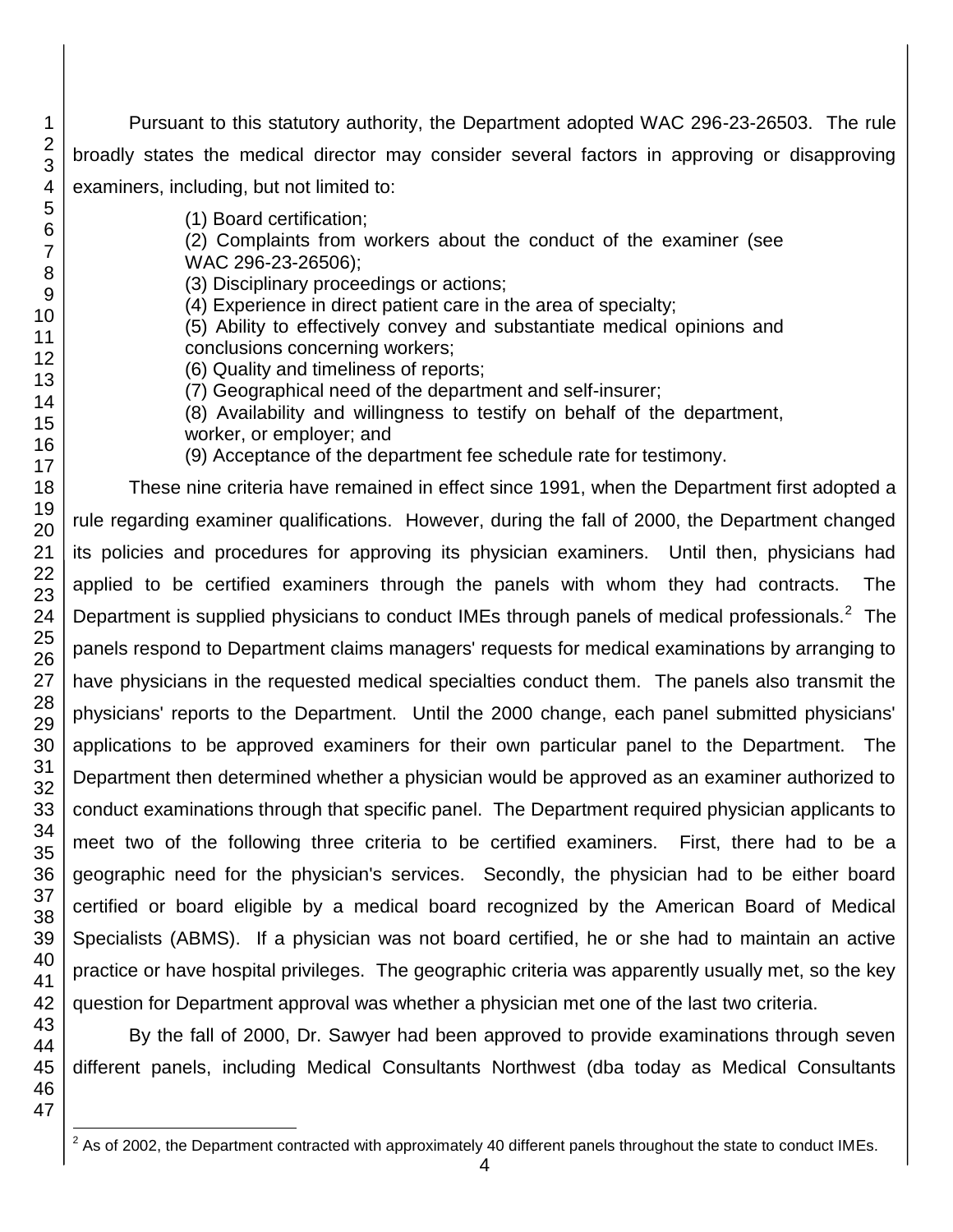Pursuant to this statutory authority, the Department adopted WAC 296-23-26503. The rule broadly states the medical director may consider several factors in approving or disapproving examiners, including, but not limited to:

(1) Board certification;

(2) Complaints from workers about the conduct of the examiner (see WAC 296-23-26506);

(3) Disciplinary proceedings or actions;

(4) Experience in direct patient care in the area of specialty;

(5) Ability to effectively convey and substantiate medical opinions and conclusions concerning workers;

(6) Quality and timeliness of reports;

(7) Geographical need of the department and self-insurer;

(8) Availability and willingness to testify on behalf of the department,

worker, or employer; and

(9) Acceptance of the department fee schedule rate for testimony.

These nine criteria have remained in effect since 1991, when the Department first adopted a rule regarding examiner qualifications. However, during the fall of 2000, the Department changed its policies and procedures for approving its physician examiners. Until then, physicians had applied to be certified examiners through the panels with whom they had contracts. The Department is supplied physicians to conduct IMEs through panels of medical professionals.<sup>2</sup> The panels respond to Department claims managers' requests for medical examinations by arranging to have physicians in the requested medical specialties conduct them. The panels also transmit the physicians' reports to the Department. Until the 2000 change, each panel submitted physicians' applications to be approved examiners for their own particular panel to the Department. The Department then determined whether a physician would be approved as an examiner authorized to conduct examinations through that specific panel. The Department required physician applicants to meet two of the following three criteria to be certified examiners. First, there had to be a geographic need for the physician's services. Secondly, the physician had to be either board certified or board eligible by a medical board recognized by the American Board of Medical Specialists (ABMS). If a physician was not board certified, he or she had to maintain an active practice or have hospital privileges. The geographic criteria was apparently usually met, so the key question for Department approval was whether a physician met one of the last two criteria.

By the fall of 2000, Dr. Sawyer had been approved to provide examinations through seven different panels, including Medical Consultants Northwest (dba today as Medical Consultants

l  $2$  As of 2002, the Department contracted with approximately 40 different panels throughout the state to conduct IMEs.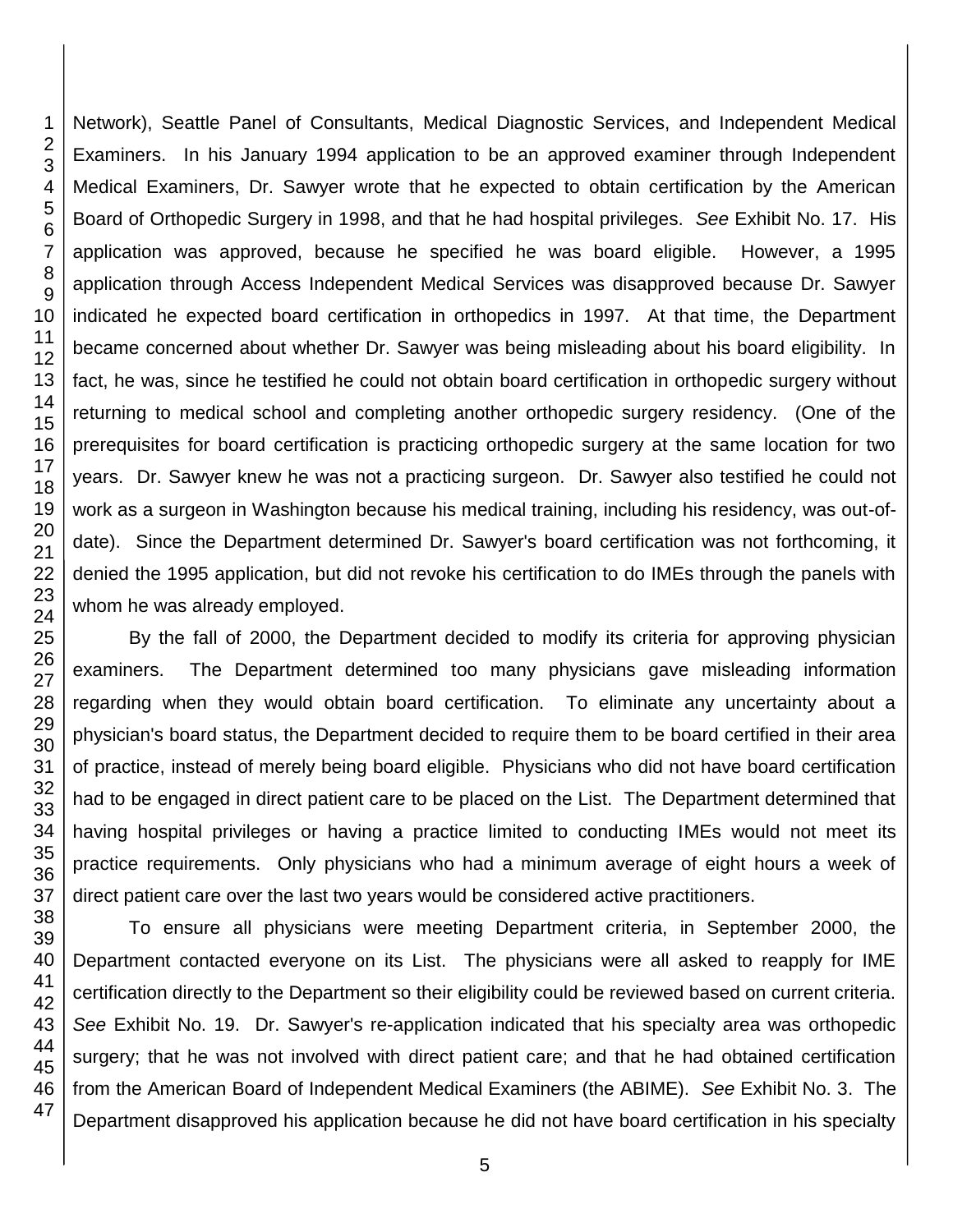46 47

1

Network), Seattle Panel of Consultants, Medical Diagnostic Services, and Independent Medical Examiners. In his January 1994 application to be an approved examiner through Independent Medical Examiners, Dr. Sawyer wrote that he expected to obtain certification by the American Board of Orthopedic Surgery in 1998, and that he had hospital privileges. *See* Exhibit No. 17. His application was approved, because he specified he was board eligible. However, a 1995 application through Access Independent Medical Services was disapproved because Dr. Sawyer indicated he expected board certification in orthopedics in 1997. At that time, the Department became concerned about whether Dr. Sawyer was being misleading about his board eligibility. In fact, he was, since he testified he could not obtain board certification in orthopedic surgery without returning to medical school and completing another orthopedic surgery residency. (One of the prerequisites for board certification is practicing orthopedic surgery at the same location for two years. Dr. Sawyer knew he was not a practicing surgeon. Dr. Sawyer also testified he could not work as a surgeon in Washington because his medical training, including his residency, was out-ofdate). Since the Department determined Dr. Sawyer's board certification was not forthcoming, it denied the 1995 application, but did not revoke his certification to do IMEs through the panels with whom he was already employed.

By the fall of 2000, the Department decided to modify its criteria for approving physician examiners. The Department determined too many physicians gave misleading information regarding when they would obtain board certification. To eliminate any uncertainty about a physician's board status, the Department decided to require them to be board certified in their area of practice, instead of merely being board eligible. Physicians who did not have board certification had to be engaged in direct patient care to be placed on the List. The Department determined that having hospital privileges or having a practice limited to conducting IMEs would not meet its practice requirements. Only physicians who had a minimum average of eight hours a week of direct patient care over the last two years would be considered active practitioners.

To ensure all physicians were meeting Department criteria, in September 2000, the Department contacted everyone on its List. The physicians were all asked to reapply for IME certification directly to the Department so their eligibility could be reviewed based on current criteria. *See* Exhibit No. 19. Dr. Sawyer's re-application indicated that his specialty area was orthopedic surgery; that he was not involved with direct patient care; and that he had obtained certification from the American Board of Independent Medical Examiners (the ABIME). *See* Exhibit No. 3. The Department disapproved his application because he did not have board certification in his specialty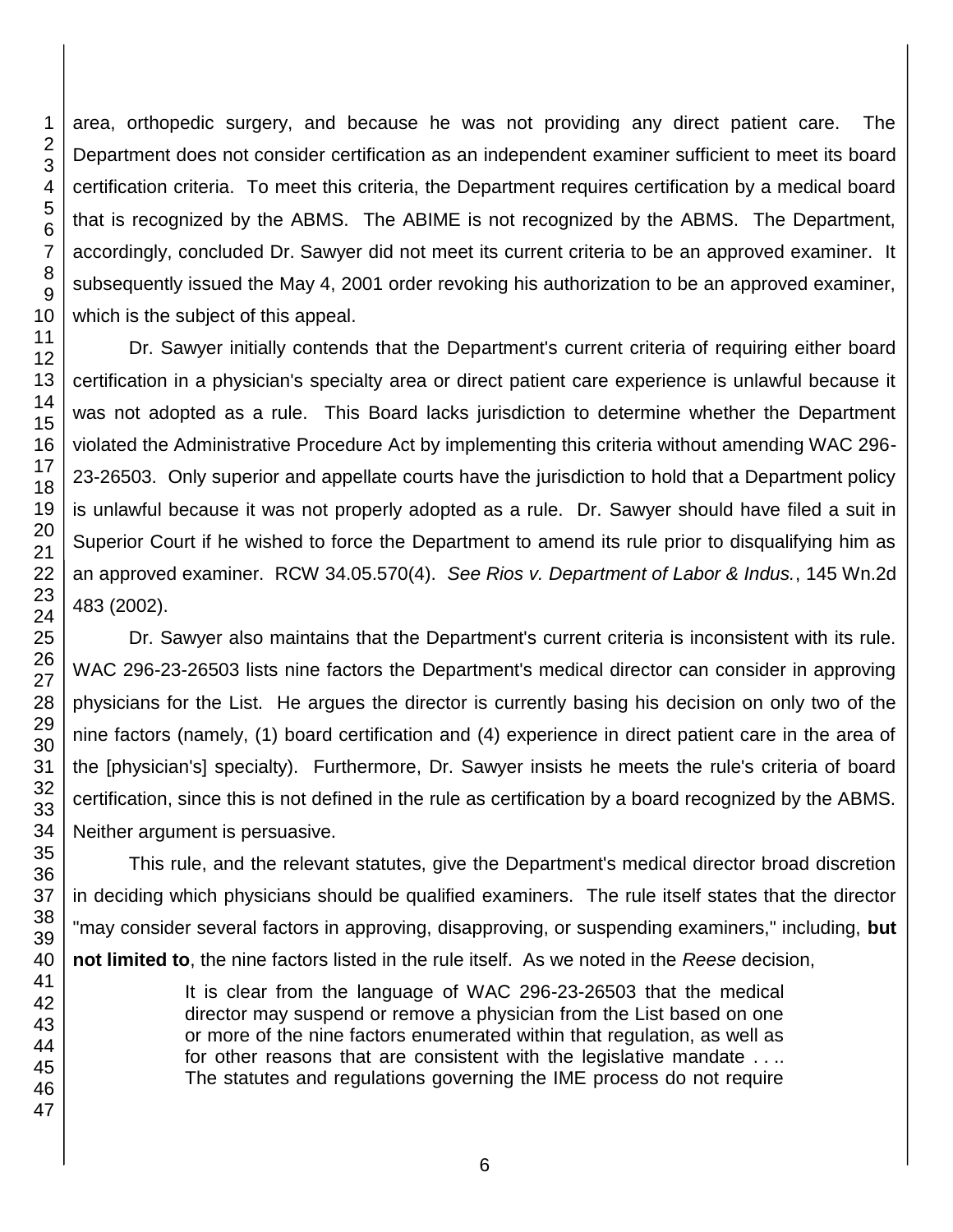area, orthopedic surgery, and because he was not providing any direct patient care. The Department does not consider certification as an independent examiner sufficient to meet its board certification criteria. To meet this criteria, the Department requires certification by a medical board that is recognized by the ABMS. The ABIME is not recognized by the ABMS. The Department, accordingly, concluded Dr. Sawyer did not meet its current criteria to be an approved examiner. It subsequently issued the May 4, 2001 order revoking his authorization to be an approved examiner, which is the subject of this appeal.

Dr. Sawyer initially contends that the Department's current criteria of requiring either board certification in a physician's specialty area or direct patient care experience is unlawful because it was not adopted as a rule. This Board lacks jurisdiction to determine whether the Department violated the Administrative Procedure Act by implementing this criteria without amending WAC 296- 23-26503. Only superior and appellate courts have the jurisdiction to hold that a Department policy is unlawful because it was not properly adopted as a rule. Dr. Sawyer should have filed a suit in Superior Court if he wished to force the Department to amend its rule prior to disqualifying him as an approved examiner. RCW 34.05.570(4). *See Rios v. Department of Labor & Indus.*, 145 Wn.2d 483 (2002).

Dr. Sawyer also maintains that the Department's current criteria is inconsistent with its rule. WAC 296-23-26503 lists nine factors the Department's medical director can consider in approving physicians for the List. He argues the director is currently basing his decision on only two of the nine factors (namely, (1) board certification and (4) experience in direct patient care in the area of the [physician's] specialty). Furthermore, Dr. Sawyer insists he meets the rule's criteria of board certification, since this is not defined in the rule as certification by a board recognized by the ABMS. Neither argument is persuasive.

This rule, and the relevant statutes, give the Department's medical director broad discretion in deciding which physicians should be qualified examiners. The rule itself states that the director "may consider several factors in approving, disapproving, or suspending examiners," including, **but not limited to**, the nine factors listed in the rule itself. As we noted in the *Reese* decision,

> It is clear from the language of WAC 296-23-26503 that the medical director may suspend or remove a physician from the List based on one or more of the nine factors enumerated within that regulation, as well as for other reasons that are consistent with the legislative mandate . . .. The statutes and regulations governing the IME process do not require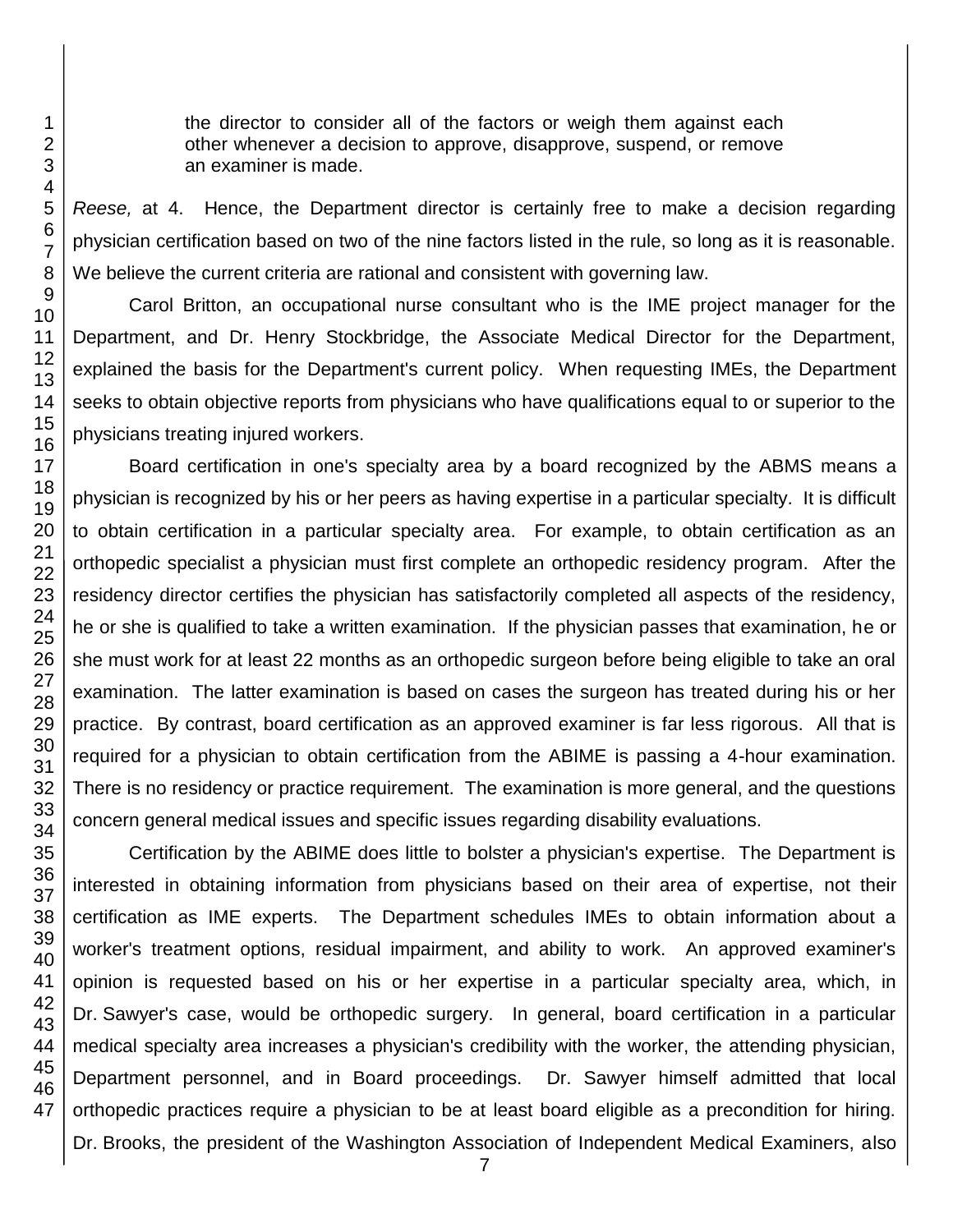the director to consider all of the factors or weigh them against each other whenever a decision to approve, disapprove, suspend, or remove an examiner is made.

*Reese,* at 4. Hence, the Department director is certainly free to make a decision regarding physician certification based on two of the nine factors listed in the rule, so long as it is reasonable. We believe the current criteria are rational and consistent with governing law.

Carol Britton, an occupational nurse consultant who is the IME project manager for the Department, and Dr. Henry Stockbridge, the Associate Medical Director for the Department, explained the basis for the Department's current policy. When requesting IMEs, the Department seeks to obtain objective reports from physicians who have qualifications equal to or superior to the physicians treating injured workers.

Board certification in one's specialty area by a board recognized by the ABMS means a physician is recognized by his or her peers as having expertise in a particular specialty. It is difficult to obtain certification in a particular specialty area. For example, to obtain certification as an orthopedic specialist a physician must first complete an orthopedic residency program. After the residency director certifies the physician has satisfactorily completed all aspects of the residency, he or she is qualified to take a written examination. If the physician passes that examination, he or she must work for at least 22 months as an orthopedic surgeon before being eligible to take an oral examination. The latter examination is based on cases the surgeon has treated during his or her practice. By contrast, board certification as an approved examiner is far less rigorous. All that is required for a physician to obtain certification from the ABIME is passing a 4-hour examination. There is no residency or practice requirement. The examination is more general, and the questions concern general medical issues and specific issues regarding disability evaluations.

Certification by the ABIME does little to bolster a physician's expertise. The Department is interested in obtaining information from physicians based on their area of expertise, not their certification as IME experts. The Department schedules IMEs to obtain information about a worker's treatment options, residual impairment, and ability to work. An approved examiner's opinion is requested based on his or her expertise in a particular specialty area, which, in Dr. Sawyer's case, would be orthopedic surgery. In general, board certification in a particular medical specialty area increases a physician's credibility with the worker, the attending physician, Department personnel, and in Board proceedings. Dr. Sawyer himself admitted that local orthopedic practices require a physician to be at least board eligible as a precondition for hiring. Dr. Brooks, the president of the Washington Association of Independent Medical Examiners, also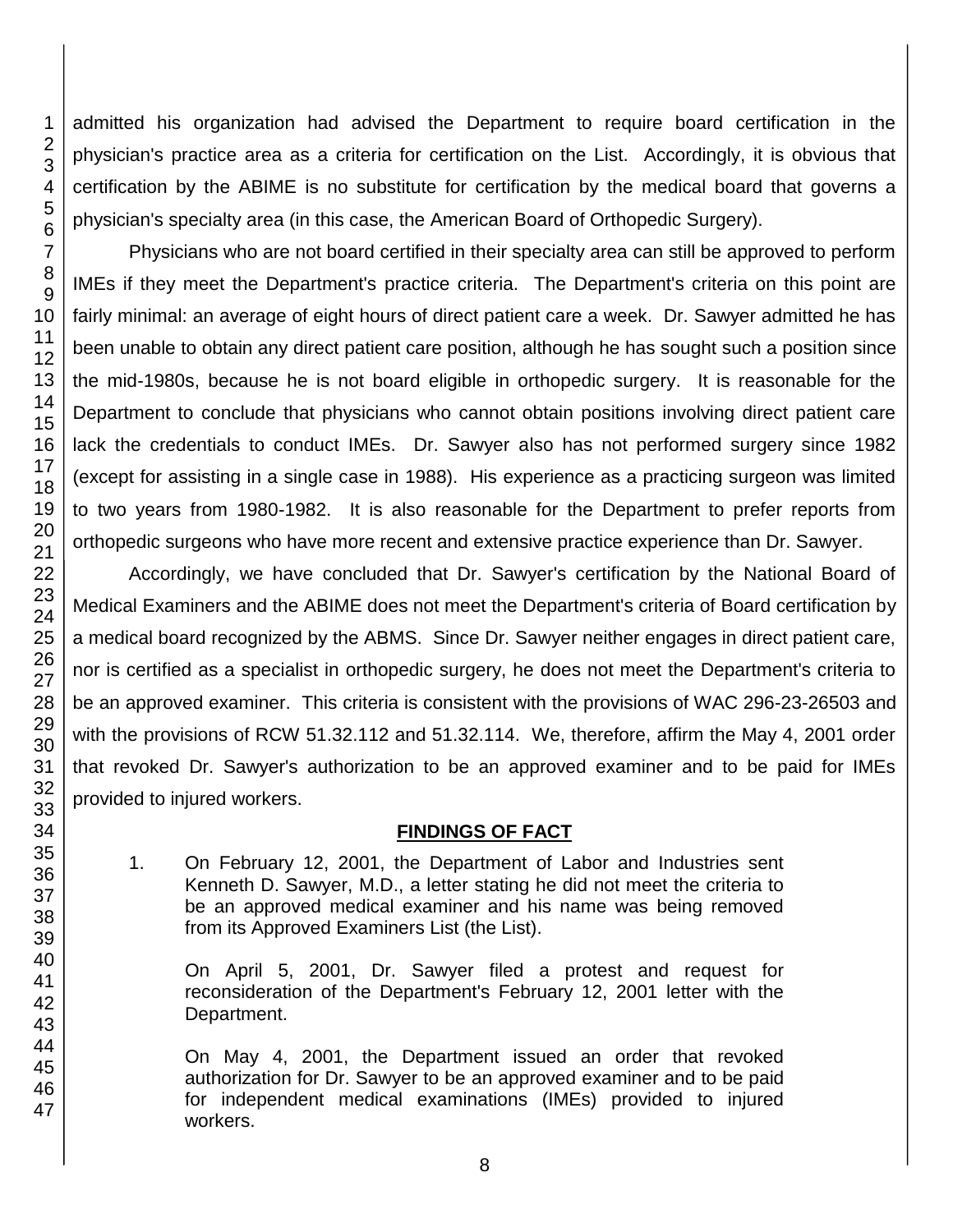admitted his organization had advised the Department to require board certification in the physician's practice area as a criteria for certification on the List. Accordingly, it is obvious that certification by the ABIME is no substitute for certification by the medical board that governs a physician's specialty area (in this case, the American Board of Orthopedic Surgery).

Physicians who are not board certified in their specialty area can still be approved to perform IMEs if they meet the Department's practice criteria. The Department's criteria on this point are fairly minimal: an average of eight hours of direct patient care a week. Dr. Sawyer admitted he has been unable to obtain any direct patient care position, although he has sought such a position since the mid-1980s, because he is not board eligible in orthopedic surgery. It is reasonable for the Department to conclude that physicians who cannot obtain positions involving direct patient care lack the credentials to conduct IMEs. Dr. Sawyer also has not performed surgery since 1982 (except for assisting in a single case in 1988). His experience as a practicing surgeon was limited to two years from 1980-1982. It is also reasonable for the Department to prefer reports from orthopedic surgeons who have more recent and extensive practice experience than Dr. Sawyer.

Accordingly, we have concluded that Dr. Sawyer's certification by the National Board of Medical Examiners and the ABIME does not meet the Department's criteria of Board certification by a medical board recognized by the ABMS. Since Dr. Sawyer neither engages in direct patient care, nor is certified as a specialist in orthopedic surgery, he does not meet the Department's criteria to be an approved examiner. This criteria is consistent with the provisions of WAC 296-23-26503 and with the provisions of RCW 51.32.112 and 51.32.114. We, therefore, affirm the May 4, 2001 order that revoked Dr. Sawyer's authorization to be an approved examiner and to be paid for IMEs provided to injured workers.

### **FINDINGS OF FACT**

1. On February 12, 2001, the Department of Labor and Industries sent Kenneth D. Sawyer, M.D., a letter stating he did not meet the criteria to be an approved medical examiner and his name was being removed from its Approved Examiners List (the List).

On April 5, 2001, Dr. Sawyer filed a protest and request for reconsideration of the Department's February 12, 2001 letter with the Department.

On May 4, 2001, the Department issued an order that revoked authorization for Dr. Sawyer to be an approved examiner and to be paid for independent medical examinations (IMEs) provided to injured workers.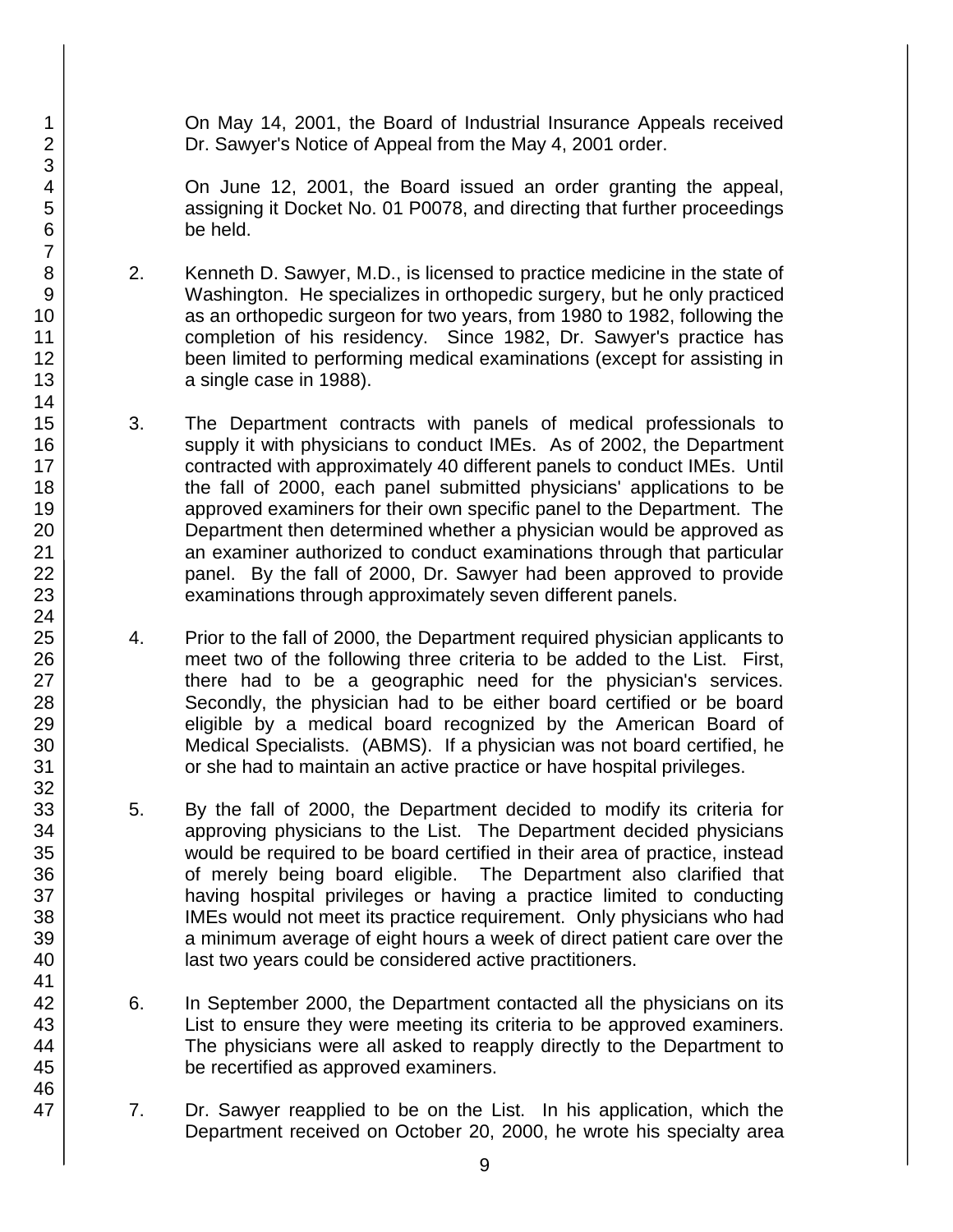On May 14, 2001, the Board of Industrial Insurance Appeals received Dr. Sawyer's Notice of Appeal from the May 4, 2001 order.

On June 12, 2001, the Board issued an order granting the appeal, assigning it Docket No. 01 P0078, and directing that further proceedings be held.

- 2. Kenneth D. Sawyer, M.D., is licensed to practice medicine in the state of Washington. He specializes in orthopedic surgery, but he only practiced as an orthopedic surgeon for two years, from 1980 to 1982, following the completion of his residency. Since 1982, Dr. Sawyer's practice has been limited to performing medical examinations (except for assisting in a single case in 1988).
- 3. The Department contracts with panels of medical professionals to supply it with physicians to conduct IMEs. As of 2002, the Department contracted with approximately 40 different panels to conduct IMEs. Until the fall of 2000, each panel submitted physicians' applications to be approved examiners for their own specific panel to the Department. The Department then determined whether a physician would be approved as an examiner authorized to conduct examinations through that particular panel. By the fall of 2000, Dr. Sawyer had been approved to provide examinations through approximately seven different panels.
- 4. Prior to the fall of 2000, the Department required physician applicants to meet two of the following three criteria to be added to the List. First, there had to be a geographic need for the physician's services. Secondly, the physician had to be either board certified or be board eligible by a medical board recognized by the American Board of Medical Specialists. (ABMS). If a physician was not board certified, he or she had to maintain an active practice or have hospital privileges.
- 5. By the fall of 2000, the Department decided to modify its criteria for approving physicians to the List. The Department decided physicians would be required to be board certified in their area of practice, instead of merely being board eligible. The Department also clarified that having hospital privileges or having a practice limited to conducting IMEs would not meet its practice requirement. Only physicians who had a minimum average of eight hours a week of direct patient care over the last two years could be considered active practitioners.
- 6. In September 2000, the Department contacted all the physicians on its List to ensure they were meeting its criteria to be approved examiners. The physicians were all asked to reapply directly to the Department to be recertified as approved examiners.
- 7. Dr. Sawyer reapplied to be on the List. In his application, which the Department received on October 20, 2000, he wrote his specialty area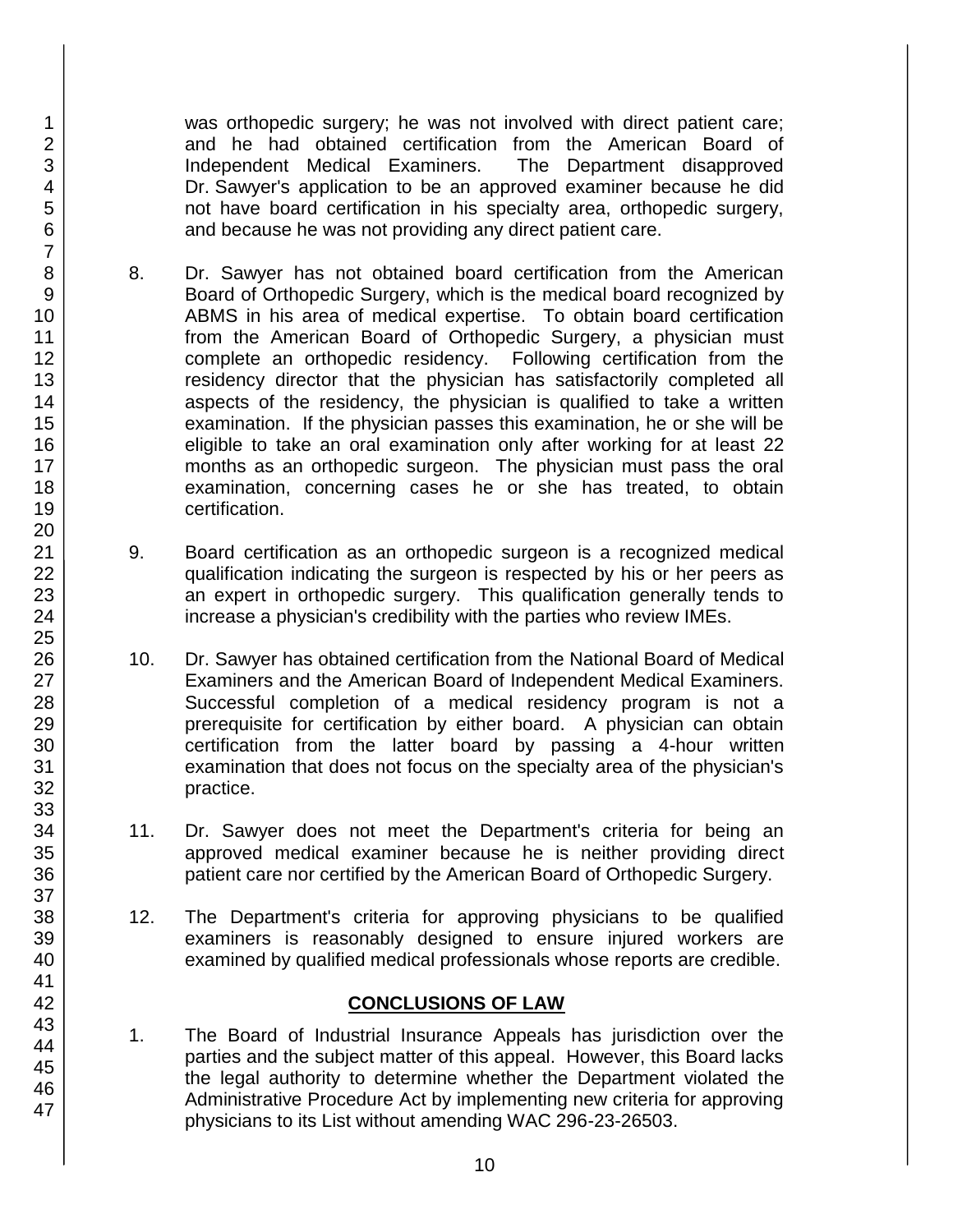was orthopedic surgery; he was not involved with direct patient care; and he had obtained certification from the American Board of Independent Medical Examiners. The Department disapproved Dr. Sawyer's application to be an approved examiner because he did not have board certification in his specialty area, orthopedic surgery, and because he was not providing any direct patient care.

- 8. Dr. Sawyer has not obtained board certification from the American Board of Orthopedic Surgery, which is the medical board recognized by ABMS in his area of medical expertise. To obtain board certification from the American Board of Orthopedic Surgery, a physician must complete an orthopedic residency. Following certification from the residency director that the physician has satisfactorily completed all aspects of the residency, the physician is qualified to take a written examination. If the physician passes this examination, he or she will be eligible to take an oral examination only after working for at least 22 months as an orthopedic surgeon. The physician must pass the oral examination, concerning cases he or she has treated, to obtain certification.
- 9. Board certification as an orthopedic surgeon is a recognized medical qualification indicating the surgeon is respected by his or her peers as an expert in orthopedic surgery. This qualification generally tends to increase a physician's credibility with the parties who review IMEs.
- 10. Dr. Sawyer has obtained certification from the National Board of Medical Examiners and the American Board of Independent Medical Examiners. Successful completion of a medical residency program is not a prerequisite for certification by either board. A physician can obtain certification from the latter board by passing a 4-hour written examination that does not focus on the specialty area of the physician's practice.
- 11. Dr. Sawyer does not meet the Department's criteria for being an approved medical examiner because he is neither providing direct patient care nor certified by the American Board of Orthopedic Surgery.
- 12. The Department's criteria for approving physicians to be qualified examiners is reasonably designed to ensure injured workers are examined by qualified medical professionals whose reports are credible.

### **CONCLUSIONS OF LAW**

1. The Board of Industrial Insurance Appeals has jurisdiction over the parties and the subject matter of this appeal. However, this Board lacks the legal authority to determine whether the Department violated the Administrative Procedure Act by implementing new criteria for approving physicians to its List without amending WAC 296-23-26503.